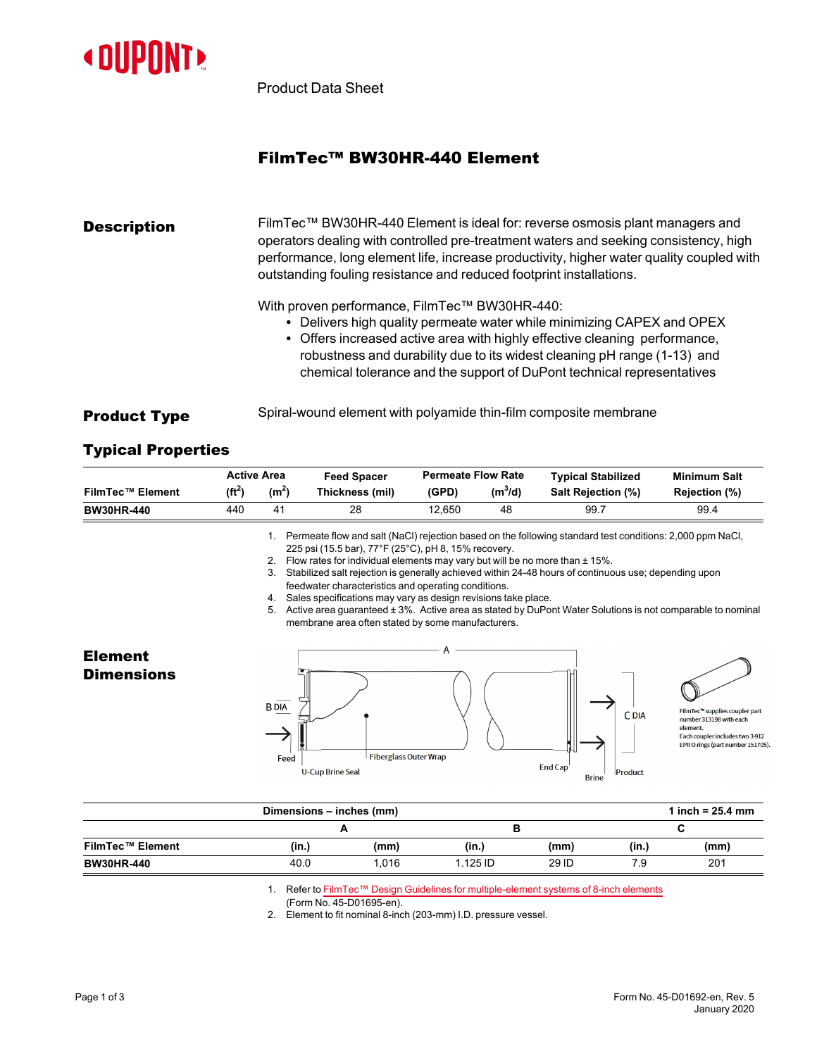

Product Data Sheet

# FilmTec™ BW30HR-440 Element

#### **Description** FilmTec™ BW30HR-440 Element is ideal for: reverse osmosis plant managers and operators dealing with controlled pre-treatment waters and seeking consistency, high performance, long element life, increase productivity, higher water quality coupled with outstanding fouling resistance and reduced footprint installations.

With proven performance, FilmTec™ BW30HR-440:

- Delivers high quality permeate water while minimizing CAPEX and OPEX
- Offers increased active area with highly effective cleaning performance, robustness and durability due to its widest cleaning pH range (1-13) and chemical tolerance and the support of DuPont technical representatives

**Product Type** Spiral-wound element with polyamide thin-film composite membrane

## Typical Properties

|                         | <b>Active Area</b> |                       | <b>Feed Spacer</b> | <b>Permeate Flow Rate</b> |                     | <b>Typical Stabilized</b> | Minimum Salt  |
|-------------------------|--------------------|-----------------------|--------------------|---------------------------|---------------------|---------------------------|---------------|
| <b>FilmTec™ Element</b> | (ft <sup>2</sup> ) | $(m^2)$               | Thickness (mil)    | (GPD)                     | (m <sup>3</sup> /d) | <b>Salt Rejection (%)</b> | Rejection (%) |
| <b>BW30HR-440</b>       | 440                | $\mathbf{4}^{\prime}$ | 28                 | 12.650                    | 48                  | 99.7                      | 99.4          |

1. Permeate flow and salt (NaCl) rejection based on the following standard test conditions: 2,000 ppm NaCl, 225 psi (15.5 bar), 77°F (25°C), pH 8, 15% recovery.

- 2. Flow rates for individual elements may vary but will be no more than ± 15%.
- 3. Stabilized salt rejection is generally achieved within 24-48 hours of continuous use; depending upon feedwater characteristics and operating conditions.
- 4. Sales specifications may vary as design revisions take place.
- 5. Active area guaranteed ± 3%. Active area as stated by DuPont Water Solutions is not comparable to nominal membrane area often stated by some manufacturers.

### Element **Dimensions**





C DIA

Product

FilmTe upplies coupler part number 313198 with each Each coupler includes two 3-912 EPR O-rings (part number 151705).

| Dimensions - inches (mm) |       |       |          |       |       | 1 inch = $25.4 \, \text{mm}$ |  |  |
|--------------------------|-------|-------|----------|-------|-------|------------------------------|--|--|
|                          |       |       | D        |       |       | ີ                            |  |  |
| <b>FilmTec™ Element</b>  | (in.) | (mm)  | (in.)    | (mm)  | (in.) | (mm)                         |  |  |
| <b>BW30HR-440</b>        | 40.0  | 1.016 | 1.125 ID | 29 ID | 7.9   | 201                          |  |  |

1. Refer to FilmTec™ Design Guidelines for [multiple-element](https://www.dupont.com/content/dam/dupont/amer/us/en/water-solutions/public/documents/en/RO-NF-FilmTec-Membrane-Sys-Design-Guidelines-8inch-Manual-Exc-45-D01695-en.pdf) systems of 8-inch elements

(Form No. 45-D01695-en).

2. Element to fit nominal 8-inch (203-mm) I.D. pressure vessel.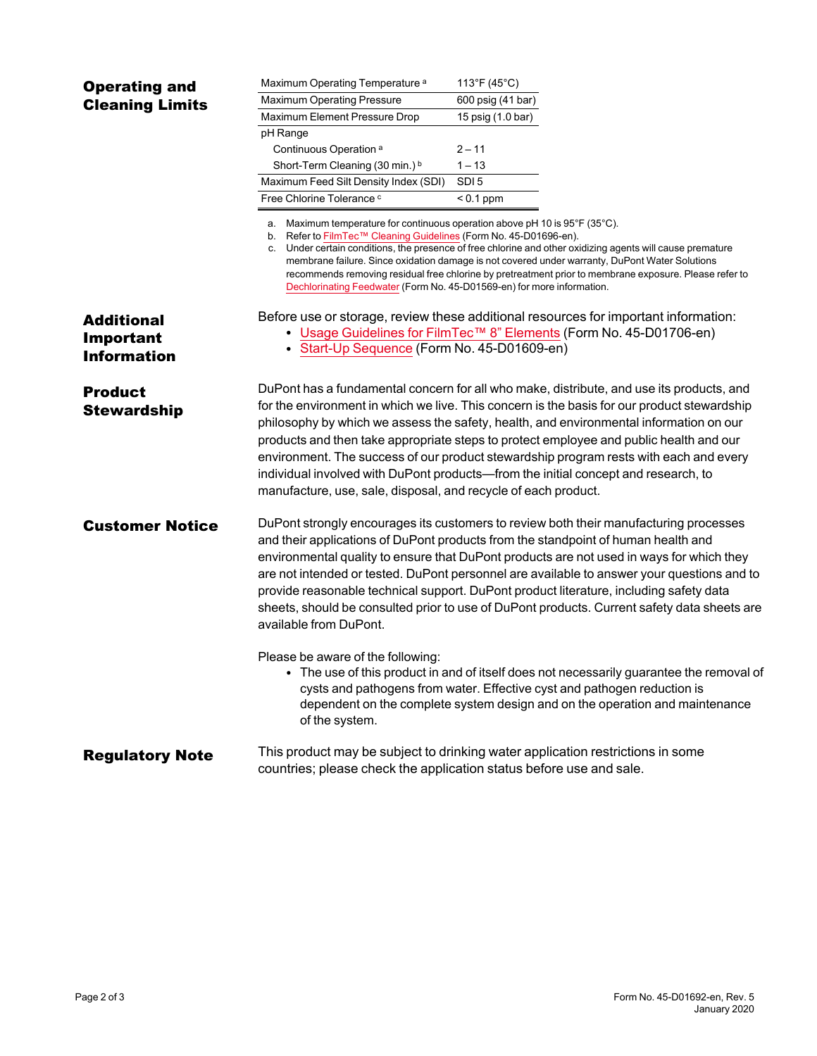| <b>Operating and</b>                                        | Maximum Operating Temperature <sup>a</sup>                                                                                                                                                                                                                                                                                                                                                                                                                                                                                                                                                                                   | 113°F (45°C)                                                                                                                                                                                                                                         |  |  |  |  |
|-------------------------------------------------------------|------------------------------------------------------------------------------------------------------------------------------------------------------------------------------------------------------------------------------------------------------------------------------------------------------------------------------------------------------------------------------------------------------------------------------------------------------------------------------------------------------------------------------------------------------------------------------------------------------------------------------|------------------------------------------------------------------------------------------------------------------------------------------------------------------------------------------------------------------------------------------------------|--|--|--|--|
| <b>Cleaning Limits</b>                                      | Maximum Operating Pressure                                                                                                                                                                                                                                                                                                                                                                                                                                                                                                                                                                                                   | 600 psig (41 bar)                                                                                                                                                                                                                                    |  |  |  |  |
|                                                             | Maximum Element Pressure Drop                                                                                                                                                                                                                                                                                                                                                                                                                                                                                                                                                                                                | 15 psig (1.0 bar)                                                                                                                                                                                                                                    |  |  |  |  |
|                                                             | pH Range                                                                                                                                                                                                                                                                                                                                                                                                                                                                                                                                                                                                                     |                                                                                                                                                                                                                                                      |  |  |  |  |
|                                                             | Continuous Operation <sup>a</sup>                                                                                                                                                                                                                                                                                                                                                                                                                                                                                                                                                                                            | $2 - 11$                                                                                                                                                                                                                                             |  |  |  |  |
|                                                             | Short-Term Cleaning (30 min.) <sup>b</sup>                                                                                                                                                                                                                                                                                                                                                                                                                                                                                                                                                                                   | $1 - 13$                                                                                                                                                                                                                                             |  |  |  |  |
|                                                             | Maximum Feed Silt Density Index (SDI)                                                                                                                                                                                                                                                                                                                                                                                                                                                                                                                                                                                        | SDI <sub>5</sub>                                                                                                                                                                                                                                     |  |  |  |  |
|                                                             | Free Chlorine Tolerance c                                                                                                                                                                                                                                                                                                                                                                                                                                                                                                                                                                                                    | $< 0.1$ ppm                                                                                                                                                                                                                                          |  |  |  |  |
|                                                             | a. Maximum temperature for continuous operation above pH 10 is 95°F (35°C).<br>b. Refer to FilmTec™ Cleaning Guidelines (Form No. 45-D01696-en).<br>c. Under certain conditions, the presence of free chlorine and other oxidizing agents will cause premature<br>membrane failure. Since oxidation damage is not covered under warranty, DuPont Water Solutions<br>recommends removing residual free chlorine by pretreatment prior to membrane exposure. Please refer to<br>Dechlorinating Feedwater (Form No. 45-D01569-en) for more information.                                                                         |                                                                                                                                                                                                                                                      |  |  |  |  |
| <b>Additional</b><br><b>Important</b><br><b>Information</b> | • Start-Up Sequence (Form No. 45-D01609-en)                                                                                                                                                                                                                                                                                                                                                                                                                                                                                                                                                                                  | Before use or storage, review these additional resources for important information:<br>• Usage Guidelines for FilmTec <sup>TM</sup> 8" Elements (Form No. 45-D01706-en)                                                                              |  |  |  |  |
| <b>Product</b><br><b>Stewardship</b>                        | DuPont has a fundamental concern for all who make, distribute, and use its products, and<br>for the environment in which we live. This concern is the basis for our product stewardship<br>philosophy by which we assess the safety, health, and environmental information on our<br>products and then take appropriate steps to protect employee and public health and our<br>environment. The success of our product stewardship program rests with each and every<br>individual involved with DuPont products-from the initial concept and research, to<br>manufacture, use, sale, disposal, and recycle of each product. |                                                                                                                                                                                                                                                      |  |  |  |  |
| <b>Customer Notice</b>                                      | DuPont strongly encourages its customers to review both their manufacturing processes<br>and their applications of DuPont products from the standpoint of human health and<br>environmental quality to ensure that DuPont products are not used in ways for which they<br>are not intended or tested. DuPont personnel are available to answer your questions and to<br>provide reasonable technical support. DuPont product literature, including safety data<br>sheets, should be consulted prior to use of DuPont products. Current safety data sheets are<br>available from DuPont.                                      |                                                                                                                                                                                                                                                      |  |  |  |  |
|                                                             | Please be aware of the following:<br>of the system.                                                                                                                                                                                                                                                                                                                                                                                                                                                                                                                                                                          | • The use of this product in and of itself does not necessarily guarantee the removal of<br>cysts and pathogens from water. Effective cyst and pathogen reduction is<br>dependent on the complete system design and on the operation and maintenance |  |  |  |  |
| <b>Regulatory Note</b>                                      | This product may be subject to drinking water application restrictions in some<br>countries; please check the application status before use and sale.                                                                                                                                                                                                                                                                                                                                                                                                                                                                        |                                                                                                                                                                                                                                                      |  |  |  |  |